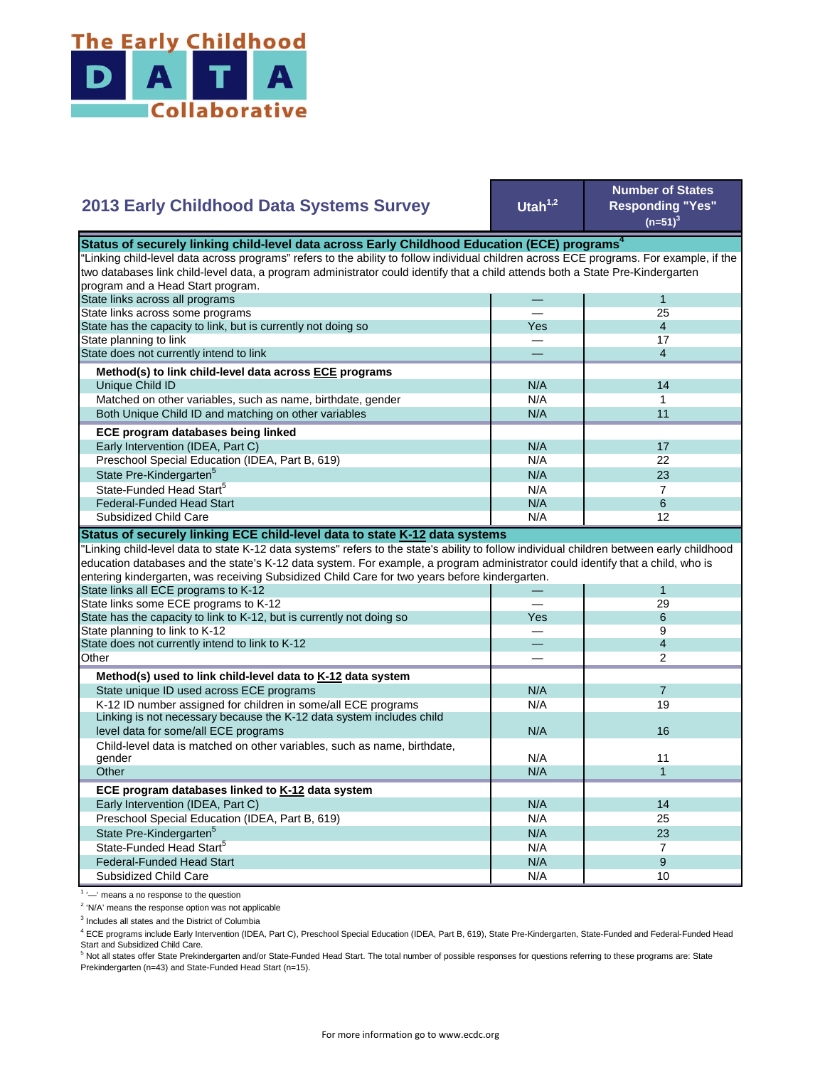

| <b>2013 Early Childhood Data Systems Survey</b>                                                                                                                                                                                                                                                                                                                                                                                                                                                                                        | Utah $1,2$ | <b>Number of States</b><br><b>Responding "Yes"</b><br>$(n=51)^3$ |
|----------------------------------------------------------------------------------------------------------------------------------------------------------------------------------------------------------------------------------------------------------------------------------------------------------------------------------------------------------------------------------------------------------------------------------------------------------------------------------------------------------------------------------------|------------|------------------------------------------------------------------|
| Status of securely linking child-level data across Early Childhood Education (ECE) programs <sup>4</sup>                                                                                                                                                                                                                                                                                                                                                                                                                               |            |                                                                  |
| "Linking child-level data across programs" refers to the ability to follow individual children across ECE programs. For example, if the                                                                                                                                                                                                                                                                                                                                                                                                |            |                                                                  |
| two databases link child-level data, a program administrator could identify that a child attends both a State Pre-Kindergarten                                                                                                                                                                                                                                                                                                                                                                                                         |            |                                                                  |
| program and a Head Start program.                                                                                                                                                                                                                                                                                                                                                                                                                                                                                                      |            |                                                                  |
| State links across all programs                                                                                                                                                                                                                                                                                                                                                                                                                                                                                                        |            | $\mathbf{1}$                                                     |
| State links across some programs                                                                                                                                                                                                                                                                                                                                                                                                                                                                                                       |            | 25                                                               |
| State has the capacity to link, but is currently not doing so                                                                                                                                                                                                                                                                                                                                                                                                                                                                          | Yes        | $\overline{4}$                                                   |
| State planning to link                                                                                                                                                                                                                                                                                                                                                                                                                                                                                                                 |            | 17                                                               |
| State does not currently intend to link                                                                                                                                                                                                                                                                                                                                                                                                                                                                                                |            | $\overline{4}$                                                   |
| Method(s) to link child-level data across ECE programs                                                                                                                                                                                                                                                                                                                                                                                                                                                                                 |            |                                                                  |
| Unique Child ID                                                                                                                                                                                                                                                                                                                                                                                                                                                                                                                        | N/A        | 14                                                               |
| Matched on other variables, such as name, birthdate, gender                                                                                                                                                                                                                                                                                                                                                                                                                                                                            | N/A        | 1                                                                |
| Both Unique Child ID and matching on other variables                                                                                                                                                                                                                                                                                                                                                                                                                                                                                   | N/A        | 11                                                               |
|                                                                                                                                                                                                                                                                                                                                                                                                                                                                                                                                        |            |                                                                  |
| ECE program databases being linked                                                                                                                                                                                                                                                                                                                                                                                                                                                                                                     |            |                                                                  |
| Early Intervention (IDEA, Part C)                                                                                                                                                                                                                                                                                                                                                                                                                                                                                                      | N/A        | 17                                                               |
| Preschool Special Education (IDEA, Part B, 619)                                                                                                                                                                                                                                                                                                                                                                                                                                                                                        | N/A        | 22                                                               |
| State Pre-Kindergarten <sup>5</sup>                                                                                                                                                                                                                                                                                                                                                                                                                                                                                                    | N/A        | 23                                                               |
| State-Funded Head Start <sup>5</sup>                                                                                                                                                                                                                                                                                                                                                                                                                                                                                                   | N/A        | $\overline{7}$                                                   |
| <b>Federal-Funded Head Start</b>                                                                                                                                                                                                                                                                                                                                                                                                                                                                                                       | N/A        | 6                                                                |
| Subsidized Child Care                                                                                                                                                                                                                                                                                                                                                                                                                                                                                                                  | N/A        | 12                                                               |
| "Linking child-level data to state K-12 data systems" refers to the state's ability to follow individual children between early childhood<br>education databases and the state's K-12 data system. For example, a program administrator could identify that a child, who is<br>entering kindergarten, was receiving Subsidized Child Care for two years before kindergarten.<br>State links all ECE programs to K-12<br>State links some ECE programs to K-12<br>State has the capacity to link to K-12, but is currently not doing so | Yes        | 1<br>29<br>6                                                     |
| State planning to link to K-12                                                                                                                                                                                                                                                                                                                                                                                                                                                                                                         | $\sim$     | 9                                                                |
| State does not currently intend to link to K-12                                                                                                                                                                                                                                                                                                                                                                                                                                                                                        |            | $\overline{4}$                                                   |
| Other                                                                                                                                                                                                                                                                                                                                                                                                                                                                                                                                  |            | $\overline{2}$                                                   |
| Method(s) used to link child-level data to K-12 data system                                                                                                                                                                                                                                                                                                                                                                                                                                                                            |            |                                                                  |
| State unique ID used across ECE programs                                                                                                                                                                                                                                                                                                                                                                                                                                                                                               | N/A        | $\overline{7}$                                                   |
| K-12 ID number assigned for children in some/all ECE programs                                                                                                                                                                                                                                                                                                                                                                                                                                                                          | N/A        | 19                                                               |
| Linking is not necessary because the K-12 data system includes child                                                                                                                                                                                                                                                                                                                                                                                                                                                                   |            |                                                                  |
| level data for some/all ECE programs                                                                                                                                                                                                                                                                                                                                                                                                                                                                                                   | N/A        | 16                                                               |
| Child-level data is matched on other variables, such as name, birthdate,                                                                                                                                                                                                                                                                                                                                                                                                                                                               |            |                                                                  |
| gender                                                                                                                                                                                                                                                                                                                                                                                                                                                                                                                                 | N/A        | 11                                                               |
| Other                                                                                                                                                                                                                                                                                                                                                                                                                                                                                                                                  | N/A        | $\mathbf{1}$                                                     |
| ECE program databases linked to K-12 data system                                                                                                                                                                                                                                                                                                                                                                                                                                                                                       |            |                                                                  |
| Early Intervention (IDEA, Part C)                                                                                                                                                                                                                                                                                                                                                                                                                                                                                                      | N/A        | 14                                                               |
| Preschool Special Education (IDEA, Part B, 619)                                                                                                                                                                                                                                                                                                                                                                                                                                                                                        | N/A        | 25                                                               |
| State Pre-Kindergarten <sup>5</sup>                                                                                                                                                                                                                                                                                                                                                                                                                                                                                                    |            | 23                                                               |
| State-Funded Head Start <sup>5</sup>                                                                                                                                                                                                                                                                                                                                                                                                                                                                                                   | N/A        |                                                                  |
|                                                                                                                                                                                                                                                                                                                                                                                                                                                                                                                                        | N/A        | $\overline{7}$                                                   |
| <b>Federal-Funded Head Start</b>                                                                                                                                                                                                                                                                                                                                                                                                                                                                                                       | N/A        | 9                                                                |
| Subsidized Child Care                                                                                                                                                                                                                                                                                                                                                                                                                                                                                                                  | N/A        | 10                                                               |

an Ba

<sup>1</sup> '-' means a no response to the question

<sup>2</sup> 'N/A' means the response option was not applicable

<sup>3</sup> Includes all states and the District of Columbia

<sup>4</sup> ECE programs include Early Intervention (IDEA, Part C), Preschool Special Education (IDEA, Part B, 619), State Pre-Kindergarten, State-Funded and Federal-Funded Head

Start and Subsidized Child Care.<br><sup>5</sup> Not all states offer State Prekindergarten and/or State-Funded Head Start. The total number of possible responses for questions referring to these programs are: State Prekindergarten (n=43) and State-Funded Head Start (n=15).